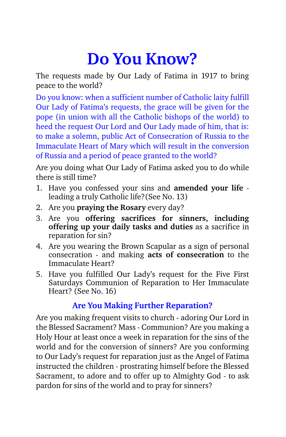# **Do You Know?**

The requests made by Our Lady of Fatima in 1917 to bring peace to the world?

Do you know: when a sufficient number of Catholic laity fulfill Our Lady of Fatima's requests, the grace will be given for the pope (in union with all the Catholic bishops of the world) to heed the request Our Lord and Our Lady made of him, that is: to make a solemn, public Act of Consecration of Russia to the Immaculate Heart of Mary which will result in the conversion of Russia and a period of peace granted to the world?

Are you doing what Our Lady of Fatima asked you to do while there is still time?

- 1. Have you confessed your sins and **amended your life** leading a truly Catholic life?(See No. 13)
- 2. Are you **praying the Rosary** every day?
- 3. Are you **offering sacrifices for sinners, including offering up your daily tasks and duties** as a sacrifice in reparation for sin?
- 4. Are you wearing the Brown Scapular as a sign of personal consecration - and making **acts of consecration** to the Immaculate Heart?
- 5. Have you fulfilled Our Lady's request for the Five First Saturdays Communion of Reparation to Her Immaculate Heart? (See No. 16)

## **Are You Making Further Reparation?**

Are you making frequent visits to church - adoring Our Lord in the Blessed Sacrament? Mass - Communion? Are you making a Holy Hour at least once a week in reparation for the sins of the world and for the conversion of sinners? Are you conforming to Our Lady's request for reparation just as the Angel of Fatima instructed the children - prostrating himself before the Blessed Sacrament, to adore and to offer up to Almighty God - to ask pardon for sins of the world and to pray for sinners?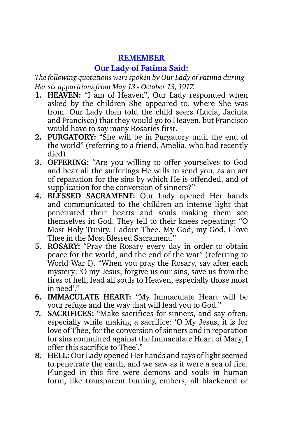#### **REMEMBER**

## **Our Lady of Fatima Said:**

*The following quotations were spoken by Our Lady of Fatima during Her six apparitions from May 13 - October 13, 1917.* 

- **1. HEAVEN:** "I am of Heaven", Our Lady responded when asked by the children She appeared to, where She was from. Our Lady then told the child seers (Lucia, Jacinta and Francisco) that they would go to Heaven, but Francisco would have to say many Rosaries first.
- **2. PURGATORY:** "She will be in Purgatory until the end of the world" (referring to a friend, Amelia, who had recently died).
- **3. OFFERING:** "Are you willing to offer yourselves to God and bear all the sufferings He wills to send you, as an act of reparation for the sins by which He is offended, and of supplication for the conversion of sinners?"
- **4. BLESSED SACRAMENT:** Our Lady opened Her hands and communicated to the children an intense light that penetrated their hearts and souls making them see themselves in God. They fell to their knees repeating: "O Most Holy Trinity, I adore Thee. My God, my God, I love Thee in the Most Blessed Sacrament."
- **5. ROSARY:** "Pray the Rosary every day in order to obtain peace for the world, and the end of the war" (referring to World War I). "When you pray the Rosary, say after each mystery: 'O my Jesus, forgive us our sins, save us from the fires of hell, lead all souls to Heaven, especially those most in need'."
- **6. IMMACULATE HEART:** "My Immaculate Heart will be your refuge and the way that will lead you to God."
- **7. SACRIFICES:** "Make sacrifices for sinners, and say often, especially while making a sacrifice: 'O My Jesus, it is for love of Thee, for the conversion of sinners and in reparation for sins committed against the Immaculate Heart of Mary, I offer this sacrifice to Thee'."
- **8. HELL:** Our Lady opened Her hands and rays of light seemed to penetrate the earth, and we saw as it were a sea of fire. Plunged in this fire were demons and souls in human form, like transparent burning embers, all blackened or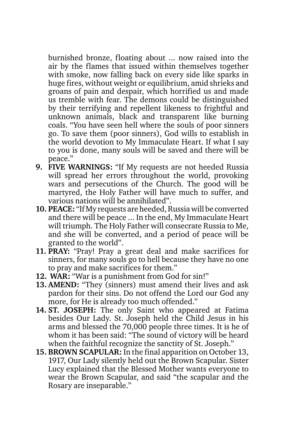burnished bronze, floating about ... now raised into the air by the flames that issued within themselves together with smoke, now falling back on every side like sparks in huge fires, without weight or equilibrium, amid shrieks and groans of pain and despair, which horrified us and made us tremble with fear. The demons could be distinguished by their terrifying and repellent likeness to frightful and unknown animals, black and transparent like burning coals. "You have seen hell where the souls of poor sinners go. To save them (poor sinners), God wills to establish in the world devotion to My Immaculate Heart. If what I say to you is done, many souls will be saved and there will be peace."

- **9. FIVE WARNINGS:** "If My requests are not heeded Russia will spread her errors throughout the world, provoking wars and persecutions of the Church. The good will be martyred, the Holy Father will have much to suffer, and various nations will be annihilated".
- **10. PEACE:** "If My requests are heeded, Russia will be converted and there will be peace ... In the end, My Immaculate Heart will triumph. The Holy Father will consecrate Russia to Me, and she will be converted, and a period of peace will be granted to the world".
- **11. PRAY:** "Pray! Pray a great deal and make sacrifices for sinners, for many souls go to hell because they have no one to pray and make sacrifices for them."
- **12. WAR:** "War is a punishment from God for sin!"
- **13. AMEND:** "They (sinners) must amend their lives and ask pardon for their sins. Do not offend the Lord our God any more, for He is already too much offended."
- **14. ST. JOSEPH:** The only Saint who appeared at Fatima besides Our Lady. St. Joseph held the Child Jesus in his arms and blessed the 70,000 people three times. It is he of whom it has been said: "The sound of victory will be heard when the faithful recognize the sanctity of St. Joseph."
- **15. BROWN SCAPULAR:** In the final apparition on October 13, 1917, Our Lady silently held out the Brown Scapular. Sister Lucy explained that the Blessed Mother wants everyone to wear the Brown Scapular, and said "the scapular and the Rosary are inseparable."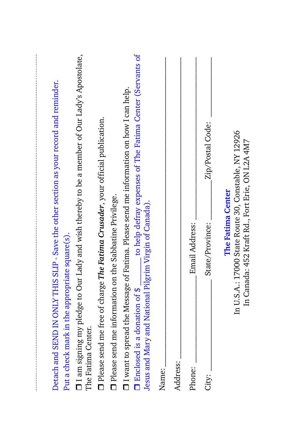| Detach and SEND IN ONLY THIS SLIP - Save the other section as your record and reminder.<br>Put a check mark in the appropriate square(s).                  |  |
|------------------------------------------------------------------------------------------------------------------------------------------------------------|--|
| $\Box$ I am signing my pledge to Our Lady and wish thereby to be a member of Our Lady's Apostolate,<br>The Fatima Center.                                  |  |
| D Please send me free of charge The Fatima Crusader, your official publication.                                                                            |  |
| Please send me information on the Sabbatine Privilege.                                                                                                     |  |
| $\Box$ I want to spread the Message of Fatima. Please send me information on how I can help.                                                               |  |
| to help defray expenses of The Fatima Center (Servants of<br>Jesus and Mary and National Pilgrim Virgin of Canada).<br>$\Box$ Enclosed is a donation of \$ |  |
| Name:                                                                                                                                                      |  |
| Address:                                                                                                                                                   |  |
| Email Address:<br>Phone:                                                                                                                                   |  |
| Zip/Postal Code:<br>State/Province:<br>City:                                                                                                               |  |
| In U.S.A.: 17000 State Route 30, Constable, NY 12926<br>In Canada: 452 Kraft Rd., Fort Erie, ON L2A 4M7<br>The Fatima Center                               |  |
|                                                                                                                                                            |  |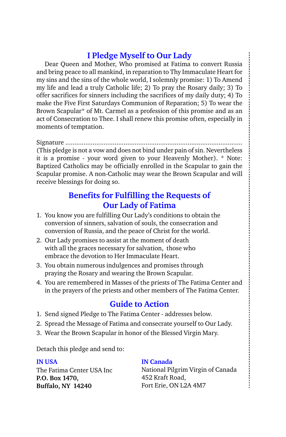## **I Pledge Myself to Our Lady**

Dear Queen and Mother, Who promised at Fatima to convert Russia and bring peace to all mankind, in reparation to Thy Immaculate Heart for my sins and the sins of the whole world, I solemnly promise: 1) To Amend my life and lead a truly Catholic life; 2) To pray the Rosary daily; 3) To offer sacrifices for sinners including the sacrifices of my daily duty; 4) To make the Five First Saturdays Communion of Reparation; 5) To wear the Brown Scapular\* of Mt. Carmel as a profession of this promise and as an act of Consecration to Thee. I shall renew this promise often, especially in moments of temptation.

Signature ................................................................................................. (This pledge is not a vow and does not bind under pain of sin. Nevertheless it is a promise - your word given to your Heavenly Mother). \* Note: Baptized Catholics may be officially enrolled in the Scapular to gain the Scapular promise. A non-Catholic may wear the Brown Scapular and will receive blessings for doing so.

## **Benefits for Fulfilling the Requests of Our Lady of Fatima**

- 1. You know you are fulfilling Our Lady's conditions to obtain the conversion of sinners, salvation of souls, the consecration and conversion of Russia, and the peace of Christ for the world.
- 2. Our Lady promises to assist at the moment of death with all the graces necessary for salvation, those who embrace the devotion to Her Immaculate Heart.
- 3. You obtain numerous indulgences and promises through praying the Rosary and wearing the Brown Scapular.
- 4. You are remembered in Masses of the priests of The Fatima Center and in the prayers of the priests and other members of The Fatima Center.

#### **Guide to Action**

- 1. Send signed Pledge to The Fatima Center addresses below.
- 2. Spread the Message of Fatima and consecrate yourself to Our Lady.
- 3. Wear the Brown Scapular in honor of the Blessed Virgin Mary.

Detach this pledge and send to:

#### **IN USA**

The Fatima Center USA Inc **P.O. Box 1470, Buffalo, NY 14240**

#### **IN Canada**

National Pilgrim Virgin of Canada 452 Kraft Road, Fort Erie, ON L2A 4M7